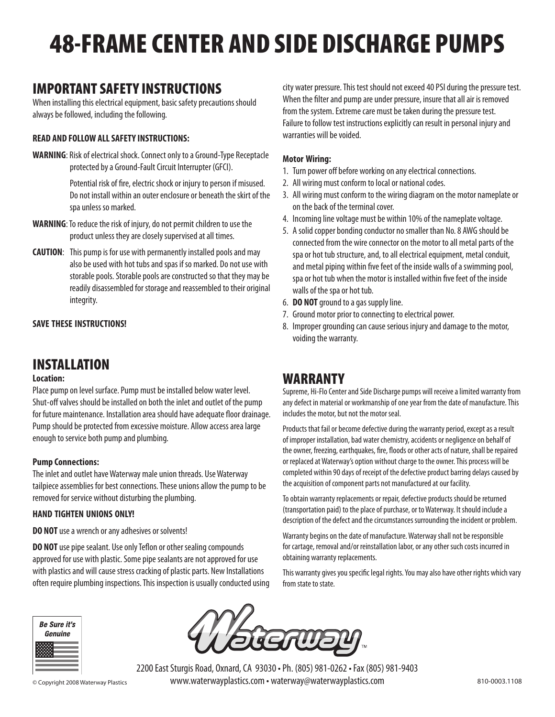# 48-FRAME CENTER AND SIDE DISCHARGE PUMPS

# IMPORTANT SAFETY INSTRUCTIONS

When installing this electrical equipment, basic safety precautions should always be followed, including the following.

#### **READ AND FOLLOW ALL SAFETY INSTRUCTIONS:**

**WARNING**: Risk of electrical shock. Connect only to a Ground-Type Receptacle protected by a Ground-Fault Circuit Interrupter (GFCI).

> Potential risk of fire, electric shock or injury to person if misused. Do not install within an outer enclosure or beneath the skirt of the spa unless so marked.

- **WARNING**: To reduce the risk of injury, do not permit children to use the product unless they are closely supervised at all times.
- **CAUTION**: This pump is for use with permanently installed pools and may also be used with hot tubs and spas if so marked. Do not use with storable pools. Storable pools are constructed so that they may be readily disassembled for storage and reassembled to their original integrity.

#### **SAVE THESE INSTRUCTIONS!**

# INSTALLATION

#### **Location:**

Place pump on level surface. Pump must be installed below water level. Shut-off valves should be installed on both the inlet and outlet of the pump for future maintenance. Installation area should have adequate floor drainage. Pump should be protected from excessive moisture. Allow access area large enough to service both pump and plumbing.

#### **Pump Connections:**

The inlet and outlet have Waterway male union threads. Use Waterway tailpiece assemblies for best connections. These unions allow the pump to be removed for service without disturbing the plumbing.

#### **HAND TIGHTEN UNIONS ONLY!**

**DO NOT** use a wrench or any adhesives or solvents!

**DO NOT** use pipe sealant. Use only Teflon or other sealing compounds approved for use with plastic. Some pipe sealants are not approved for use with plastics and will cause stress cracking of plastic parts. New Installations often require plumbing inspections. This inspection is usually conducted using city water pressure. This test should not exceed 40 PSI during the pressure test. When the filter and pump are under pressure, insure that all air is removed from the system. Extreme care must be taken during the pressure test. Failure to follow test instructions explicitly can result in personal injury and warranties will be voided.

#### **Motor Wiring:**

- 1. Turn power off before working on any electrical connections.
- 2. All wiring must conform to local or national codes.
- 3. All wiring must conform to the wiring diagram on the motor nameplate or on the back of the terminal cover.
- 4. Incoming line voltage must be within 10% of the nameplate voltage.
- 5. A solid copper bonding conductor no smaller than No. 8 AWG should be connected from the wire connector on the motor to all metal parts of the spa or hot tub structure, and, to all electrical equipment, metal conduit, and metal piping within five feet of the inside walls of a swimming pool, spa or hot tub when the motor is installed within five feet of the inside walls of the spa or hot tub.
- 6. **DO NOT** ground to a gas supply line.
- 7. Ground motor prior to connecting to electrical power.
- 8. Improper grounding can cause serious injury and damage to the motor, voiding the warranty.

# WARRANTY

Supreme, Hi-Flo Center and Side Discharge pumps will receive a limited warranty from any defect in material or workmanship of one year from the date of manufacture. This includes the motor, but not the motor seal.

Products that fail or become defective during the warranty period, except as a result of improper installation, bad water chemistry, accidents or negligence on behalf of the owner, freezing, earthquakes, fire, floods or other acts of nature, shall be repaired or replaced at Waterway's option without charge to the owner. This process will be completed within 90 days of receipt of the defective product barring delays caused by the acquisition of component parts not manufactured at our facility.

To obtain warranty replacements or repair, defective products should be returned (transportation paid) to the place of purchase, or to Waterway. It should include a description of the defect and the circumstances surrounding the incident or problem.

Warranty begins on the date of manufacture. Waterway shall not be responsible for cartage, removal and/or reinstallation labor, or any other such costs incurred in obtaining warranty replacements.

This warranty gives you specific legal rights. You may also have other rights which vary from state to state.





2200 East Sturgis Road, Oxnard, CA 93030 • Ph. (805) 981-0262 • Fax (805) 981-9403 © Copyright 2008 Waterway Plastics www.waterwayplastics.com • waterway@waterwayplastics.com 810-0003.1108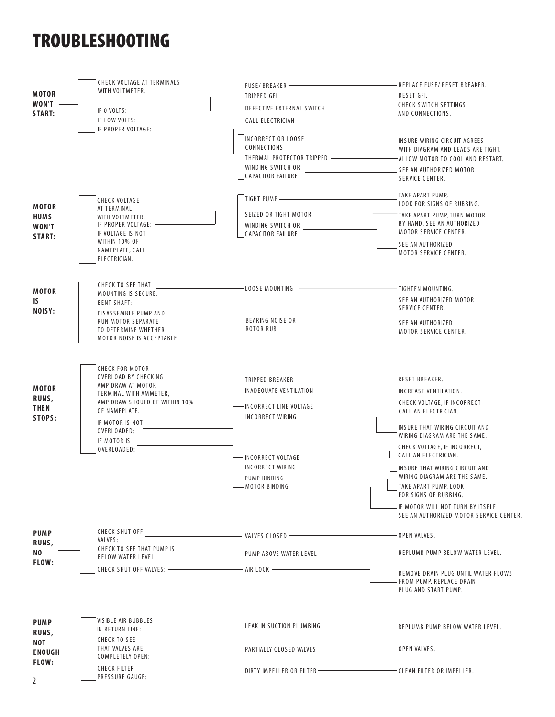# TROUBLESHOOTING

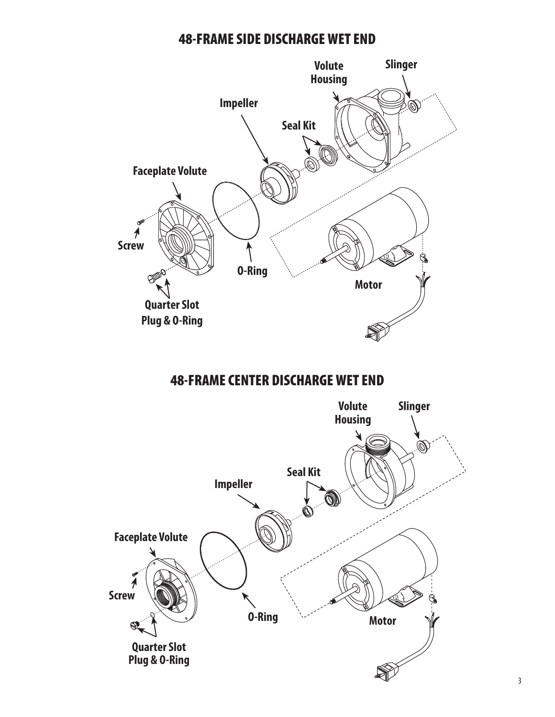## 48-FRAME SIDE DISCHARGE WET END



# 48-FRAME CENTER DISCHARGE WET END